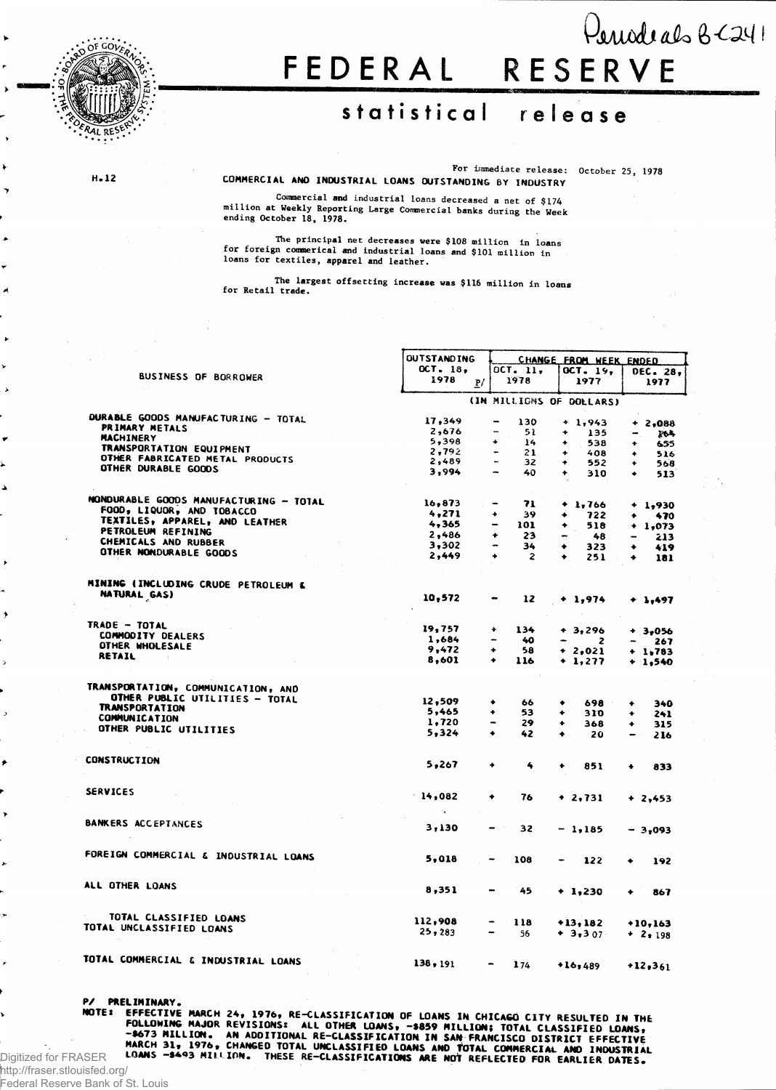

## **FEDERA L RESERV E**   $\theta$ *enedeals*  $8 - 241$

## **statistica l releas e**

**For immediate release: October 25, 1978**

**H.12** 

**COMMERCIAL AND INDUSTRIAL LOANS OUTSTANDING BY INDUSTRY**

**Commercial and industrial loans decreased a net of \$174 million at Weekly Reporting Large Commercial banks during the Week ending October 18, 1978.**

The principal net decreases were \$108 million in loans<br>for foreign commerical and industrial loans and \$101 million in **loans for textiles, apparel and leather.**

**The largest offsetting increase was \$116 million in loans for Retail trade.**

|                                        | <b>OUTSTANDING</b>                    |                 | CHANGE FROM WEEK ENDED             |                          |              |           |            |  |
|----------------------------------------|---------------------------------------|-----------------|------------------------------------|--------------------------|--------------|-----------|------------|--|
|                                        | $OCT - 18$ ,                          |                 | OCT. 11,                           |                          | OCT. 19,     |           | DEC. 28,   |  |
| <b>BUSINESS OF BORROWER</b>            | 1978                                  | P/              | 1978                               |                          | 1977         |           | 1977       |  |
|                                        |                                       |                 | (IN MILLIGNS OF DOLLARS)           |                          |              |           |            |  |
| DURABLE GOODS MANUFACTURING - TOTAL    | 17,349                                |                 | 130<br>-                           |                          | $+1,943$     |           | $+2,088$   |  |
| PRIMARY METALS                         | 2,676                                 |                 | -<br>51                            | ۰                        | 135          |           |            |  |
| MACHINERY                              | 5,398                                 |                 | ٠<br>14                            | ٠                        | 538          | ₩.,       | 264        |  |
| TRANSPORTATION EQUIPMENT               | 2,792                                 |                 | 21                                 | ۰                        | 408          | ÷.        | 655        |  |
| OTHER FABRICATED METAL PRODUCTS        | 2,489                                 |                 | $\sim$<br>32                       | ٠                        | 552          | ٠<br>٠    | 516        |  |
| OTHER DURABLE GOODS                    | 3,994                                 |                 | $\qquad \qquad \blacksquare$<br>40 | ٠                        | 310          | $\bullet$ | 568<br>513 |  |
|                                        |                                       |                 |                                    |                          |              |           |            |  |
| MONDURABLE GOODS MANUFACTURING - TOTAL | 16,873                                |                 | 71<br>$\overline{\phantom{a}}$     |                          | $+ 1,766$    |           | $+ 1,930$  |  |
| FOOD, LIQUOR, AND TOBACCO              | 4,271                                 |                 | 39.<br>۰                           | ۰                        | 722          | ۰         | 470        |  |
| TEXTILES, APPAREL, AND LEATHER         | 4,365                                 |                 | 101<br>$\overline{\phantom{a}}$    | ۰                        | 518          |           | $+ 1,073$  |  |
| PETROLEUM REFINING                     | 2,486                                 |                 | ٠<br>23                            | $\overline{\phantom{a}}$ | 48           |           |            |  |
| CHEMICALS AND RUBBER                   | 3,302                                 |                 | $\blacksquare$<br>34               |                          |              |           | 213.       |  |
| OTHER NONDURABLE GOODS                 | 2,449                                 |                 | $\ddotmark$<br>2                   | ۰<br>۰                   | 323<br>251   | ۰<br>٠    | 419<br>181 |  |
|                                        |                                       |                 |                                    |                          |              |           |            |  |
| MINING (INCLUDING CRUDE PETROLEUM &    |                                       |                 |                                    |                          |              |           |            |  |
| NATURAL GAS)                           | 10,572                                |                 | 12                                 |                          | $+ 1,974$    | $+1,497$  |            |  |
|                                        |                                       |                 |                                    |                          |              |           |            |  |
| TRADE - TOTAL                          | 19,757                                |                 | 134<br>۰                           |                          | $+3,296$     | $+3,056$  |            |  |
| COMMODITY DEALERS                      | 1,684                                 |                 | $\overline{\phantom{a}}$<br>40     |                          | $\mathbf{z}$ | -         | 267        |  |
| OTHER WHOLESALE                        | 9,472                                 |                 | 58<br>٠                            |                          | $+2,021$     | $+ 1,783$ |            |  |
| RETAIL                                 | 8,601                                 |                 | $\ddot{\bullet}$<br>116            |                          | + 1,277      | $+1,540$  |            |  |
|                                        |                                       |                 |                                    |                          |              |           |            |  |
| TRANSPORTATION, COMMUNICATION, AND     |                                       |                 |                                    |                          |              |           |            |  |
| OTHER PUBLIC UTILITIES - TOTAL         | 12,509                                |                 | ۰<br>66                            | ۰                        | 698 -        | ٠         | 340        |  |
| <b>TRANSPORTATION</b>                  | 5,465                                 |                 | ٠<br>53                            | ۰                        | 310          | ٠         | 241        |  |
| COMMUNICATION                          | 1,720                                 |                 | 29<br>$\qquad \qquad \blacksquare$ | ۰                        | 368          | ۰         | 315        |  |
| OTHER PUBLIC UTILITIES                 | 5,324                                 |                 | ٠<br>42                            | ٠                        | 20           | $\cdots$  | 216        |  |
|                                        |                                       |                 |                                    |                          |              |           |            |  |
| <b>CONSTRUCTION</b>                    | 5,267                                 |                 | ۰<br>4                             | ٠                        | 851          | ۰         | 833        |  |
|                                        |                                       |                 |                                    |                          |              |           |            |  |
| <b>SERVICES</b>                        | 14,082                                |                 | ۰<br>76                            |                          | $+2,731$     | $+2,453$  |            |  |
|                                        | $\mathcal{L}_{\mathbf{A},\mathbf{r}}$ |                 |                                    |                          |              |           |            |  |
| BANKERS ACCEPTANCES                    | 3,130                                 |                 | 32                                 |                          |              |           |            |  |
|                                        |                                       |                 |                                    |                          | $-1,185$     | $-3,093$  |            |  |
| FOREIGN COMMERCIAL & INDUSTRIAL LOANS  | 5,018                                 |                 | 108                                |                          |              |           |            |  |
|                                        |                                       |                 |                                    |                          | 122          | ۰         | 192        |  |
| ALL OTHER LOANS                        | 8,351                                 |                 |                                    |                          |              |           |            |  |
|                                        |                                       |                 | 45                                 |                          | $+1,230$     | ۰         | 867        |  |
| TOTAL CLASSIFIED LOANS                 | 112,908                               |                 |                                    |                          |              |           |            |  |
| TOTAL UNCLASSIFIED LOANS               |                                       |                 | 118                                |                          | $+13,182$    | $+10,163$ |            |  |
|                                        | 25,283                                |                 | 56                                 |                          | $+3,307$     | $+ 2.198$ |            |  |
| TOTAL COMMERCIAL & INDUSTRIAL LOANS    |                                       |                 |                                    |                          |              |           |            |  |
|                                        | 138, 191                              | $\qquad \qquad$ | 174                                |                          | 16,489       | $+12,361$ |            |  |

P/ PRELIMINARY**.**<br>Note: <u>effective March 24, 1976, re-classification of loans in chicago city resulted in the</u> Here FOLLOWING MAJOR REVISIONS: ALL ONS ACTOMOBIC UNIT OF LUANS IN UNILAGU CITY RESULTED IN THE<br>FOLLOWING MAJOR REVISIONS: ALL OTHER LOANS, -\$859 MILLION; TOTAL CLASSIFIED LOANS,<br>-\$673 MILLION. AN ADDITIONAL RE-CLASSIFICAT

Federal Reserve Bank of St. Louis

Digitized for FRASER